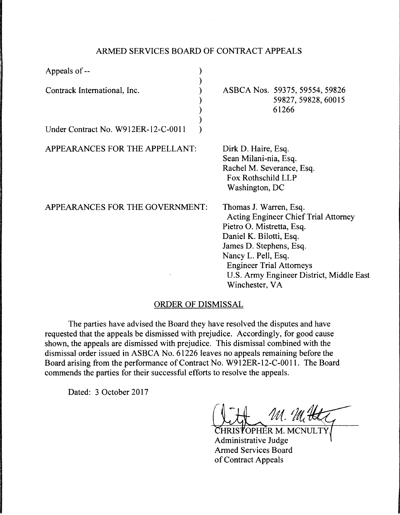## ARMED SERVICES BOARD OF CONTRACT APPEALS

| Appeals of --                                                       |                                                                                                                                                                                                                                                                                  |  |
|---------------------------------------------------------------------|----------------------------------------------------------------------------------------------------------------------------------------------------------------------------------------------------------------------------------------------------------------------------------|--|
| Contrack International, Inc.<br>Under Contract No. W912ER-12-C-0011 | ASBCA Nos. 59375, 59554, 59826<br>59827, 59828, 60015<br>61266                                                                                                                                                                                                                   |  |
| APPEARANCES FOR THE APPELLANT:                                      | Dirk D. Haire, Esq.<br>Sean Milani-nia, Esq.<br>Rachel M. Severance, Esq.<br>Fox Rothschild LLP<br>Washington, DC                                                                                                                                                                |  |
| APPEARANCES FOR THE GOVERNMENT:                                     | Thomas J. Warren, Esq.<br><b>Acting Engineer Chief Trial Attorney</b><br>Pietro O. Mistretta, Esq.<br>Daniel K. Bilotti, Esq.<br>James D. Stephens, Esq.<br>Nancy L. Pell, Esq.<br><b>Engineer Trial Attorneys</b><br>U.S. Army Engineer District, Middle East<br>Winchester, VA |  |
|                                                                     | ORDER OF DISMISSAI                                                                                                                                                                                                                                                               |  |

## <u>JKDER OF DISMISSAL</u>

The parties have advised the Board they have resolved the disputes and have requested that the appeals be dismissed with prejudice. Accordingly, for good cause shown, the appeals are dismissed with prejudice. This dismissal combined with the dismissal order issued in ASBCA No. 61226 leaves no appeals remaining before the Board arising from the performance of Contract No. W912ER-12-C-0011. The Board commends the parties for their successful efforts to resolve the appeals.

Dated: 3 October 2017

Litt M. M. Het

Administrative Judge Armed Services Board of Contract Appeals